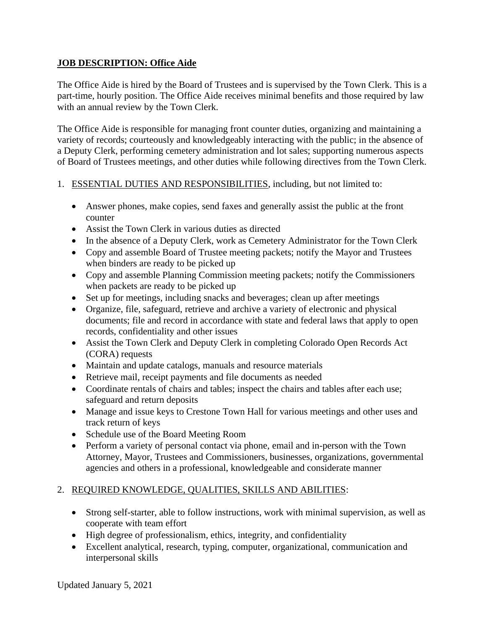### **JOB DESCRIPTION: Office Aide**

The Office Aide is hired by the Board of Trustees and is supervised by the Town Clerk. This is a part-time, hourly position. The Office Aide receives minimal benefits and those required by law with an annual review by the Town Clerk.

The Office Aide is responsible for managing front counter duties, organizing and maintaining a variety of records; courteously and knowledgeably interacting with the public; in the absence of a Deputy Clerk, performing cemetery administration and lot sales; supporting numerous aspects of Board of Trustees meetings, and other duties while following directives from the Town Clerk.

### 1. ESSENTIAL DUTIES AND RESPONSIBILITIES, including, but not limited to:

- Answer phones, make copies, send faxes and generally assist the public at the front counter
- Assist the Town Clerk in various duties as directed
- In the absence of a Deputy Clerk, work as Cemetery Administrator for the Town Clerk
- Copy and assemble Board of Trustee meeting packets; notify the Mayor and Trustees when binders are ready to be picked up
- Copy and assemble Planning Commission meeting packets; notify the Commissioners when packets are ready to be picked up
- Set up for meetings, including snacks and beverages; clean up after meetings
- Organize, file, safeguard, retrieve and archive a variety of electronic and physical documents; file and record in accordance with state and federal laws that apply to open records, confidentiality and other issues
- Assist the Town Clerk and Deputy Clerk in completing Colorado Open Records Act (CORA) requests
- Maintain and update catalogs, manuals and resource materials
- Retrieve mail, receipt payments and file documents as needed
- Coordinate rentals of chairs and tables; inspect the chairs and tables after each use; safeguard and return deposits
- Manage and issue keys to Crestone Town Hall for various meetings and other uses and track return of keys
- Schedule use of the Board Meeting Room
- Perform a variety of personal contact via phone, email and in-person with the Town Attorney, Mayor, Trustees and Commissioners, businesses, organizations, governmental agencies and others in a professional, knowledgeable and considerate manner

# 2. REQUIRED KNOWLEDGE, QUALITIES, SKILLS AND ABILITIES:

- Strong self-starter, able to follow instructions, work with minimal supervision, as well as cooperate with team effort
- High degree of professionalism, ethics, integrity, and confidentiality
- Excellent analytical, research, typing, computer, organizational, communication and interpersonal skills